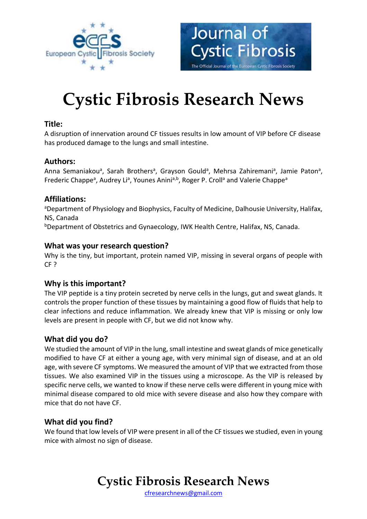



# **Cystic Fibrosis Research News**

# **Title:**

A disruption of innervation around CF tissues results in low amount of VIP before CF disease has produced damage to the lungs and small intestine.

# **Authors:**

Anna Semaniakou<sup>a</sup>, Sarah Brothers<sup>a</sup>, Grayson Gould<sup>a</sup>, Mehrsa Zahiremani<sup>a</sup>, Jamie Paton<sup>a</sup>, Frederic Chappe<sup>a</sup>, Audrey Li<sup>a</sup>, Younes Anini<sup>a,b</sup>, Roger P. Croll<sup>a</sup> and Valerie Chappe<sup>a</sup>

# **Affiliations:**

aDepartment of Physiology and Biophysics, Faculty of Medicine, Dalhousie University, Halifax, NS, Canada

<sup>b</sup>Department of Obstetrics and Gynaecology, IWK Health Centre, Halifax, NS, Canada.

# **What was your research question?**

Why is the tiny, but important, protein named VIP, missing in several organs of people with CF ?

# **Why is this important?**

The VIP peptide is a tiny protein secreted by nerve cells in the lungs, gut and sweat glands. It controls the proper function of these tissues by maintaining a good flow of fluids that help to clear infections and reduce inflammation. We already knew that VIP is missing or only low levels are present in people with CF, but we did not know why.

# **What did you do?**

We studied the amount of VIP in the lung, small intestine and sweat glands of mice genetically modified to have CF at either a young age, with very minimal sign of disease, and at an old age, with severe CF symptoms. We measured the amount of VIP that we extracted from those tissues. We also examined VIP in the tissues using a microscope. As the VIP is released by specific nerve cells, we wanted to know if these nerve cells were different in young mice with minimal disease compared to old mice with severe disease and also how they compare with mice that do not have CF.

### **What did you find?**

We found that low levels of VIP were present in all of the CF tissues we studied, even in young mice with almost no sign of disease.

**Cystic Fibrosis Research News**

[cfresearchnews@gmail.com](mailto:cfresearchnews@gmail.com)